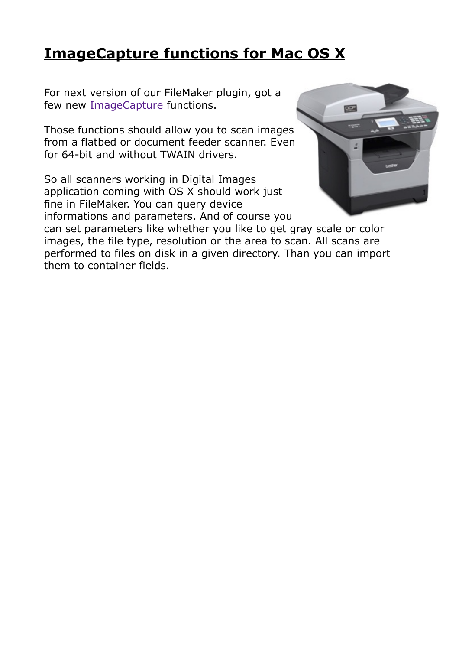## **[ImageCapture functions for Mac OS X](http://www.mbs-plugins.com/archive/2016-09-12/ImageCapture_functions_for_Mac/monkeybreadsoftware_blog_filemaker)**

For next version of our FileMaker plugin, got a few new [ImageCapture](http://www.mbsplugins.eu/component_ImageCapture.shtml) functions.

Those functions should allow you to scan images from a flatbed or document feeder scanner. Even for 64-bit and without TWAIN drivers.

So all scanners working in Digital Images application coming with OS X should work just fine in FileMaker. You can query device informations and parameters. And of course you



can set parameters like whether you like to get gray scale or color images, the file type, resolution or the area to scan. All scans are performed to files on disk in a given directory. Than you can import them to container fields.